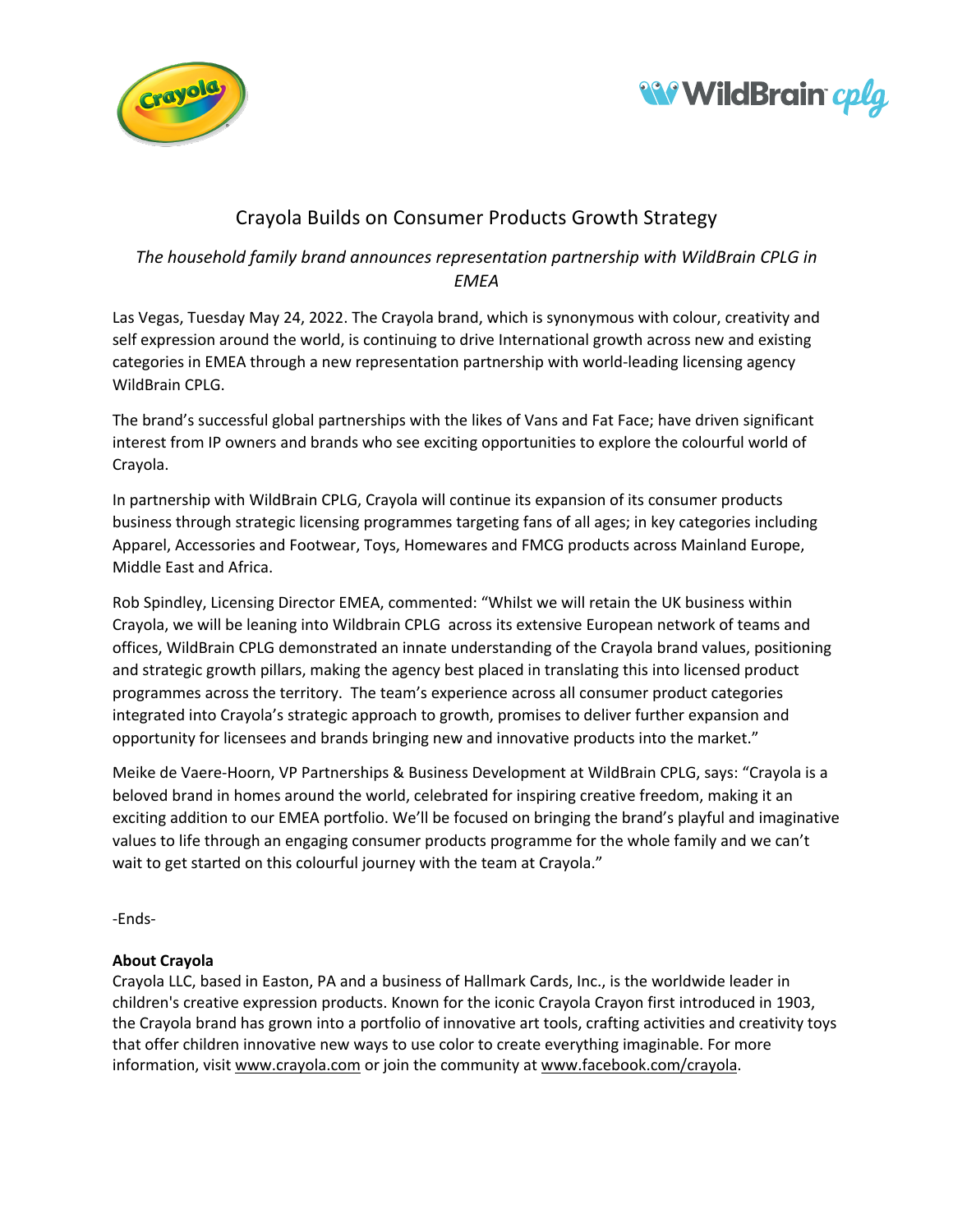



## Crayola Builds on Consumer Products Growth Strategy

## *The household family brand announces representation partnership with WildBrain CPLG in EMEA*

Las Vegas, Tuesday May 24, 2022. The Crayola brand, which is synonymous with colour, creativity and self expression around the world, is continuing to drive International growth across new and existing categories in EMEA through a new representation partnership with world-leading licensing agency WildBrain CPLG.

The brand's successful global partnerships with the likes of Vans and Fat Face; have driven significant interest from IP owners and brands who see exciting opportunities to explore the colourful world of Crayola.

In partnership with WildBrain CPLG, Crayola will continue its expansion of its consumer products business through strategic licensing programmes targeting fans of all ages; in key categories including Apparel, Accessories and Footwear, Toys, Homewares and FMCG products across Mainland Europe, Middle East and Africa.

Rob Spindley, Licensing Director EMEA, commented: "Whilst we will retain the UK business within Crayola, we will be leaning into Wildbrain CPLG across its extensive European network of teams and offices, WildBrain CPLG demonstrated an innate understanding of the Crayola brand values, positioning and strategic growth pillars, making the agency best placed in translating this into licensed product programmes across the territory. The team's experience across all consumer product categories integrated into Crayola's strategic approach to growth, promises to deliver further expansion and opportunity for licensees and brands bringing new and innovative products into the market."

Meike de Vaere-Hoorn, VP Partnerships & Business Development at WildBrain CPLG, says: "Crayola is a beloved brand in homes around the world, celebrated for inspiring creative freedom, making it an exciting addition to our EMEA portfolio. We'll be focused on bringing the brand's playful and imaginative values to life through an engaging consumer products programme for the whole family and we can't wait to get started on this colourful journey with the team at Crayola."

-Ends-

## **About Crayola**

Crayola LLC, based in Easton, PA and a business of Hallmark Cards, Inc., is the worldwide leader in children's creative expression products. Known for the iconic Crayola Crayon first introduced in 1903, the Crayola brand has grown into a portfolio of innovative art tools, crafting activities and creativity toys that offer children innovative new ways to use color to create everything imaginable. For more information, visit www.crayola.com or join the community at www.facebook.com/crayola.